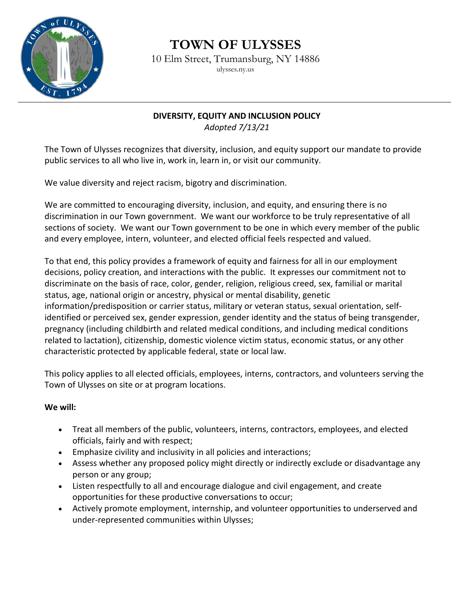

## **TOWN OF ULYSSES**

10 Elm Street, Trumansburg, NY 14886 ulysses.ny.us

## **DIVERSITY, EQUITY AND INCLUSION POLICY**

*Adopted 7/13/21*

The Town of Ulysses recognizes that diversity, inclusion, and equity support our mandate to provide public services to all who live in, work in, learn in, or visit our community.

We value diversity and reject racism, bigotry and discrimination.

We are committed to encouraging diversity, inclusion, and equity, and ensuring there is no discrimination in our Town government. We want our workforce to be truly representative of all sections of society. We want our Town government to be one in which every member of the public and every employee, intern, volunteer, and elected official feels respected and valued.

To that end, this policy provides a framework of equity and fairness for all in our employment decisions, policy creation, and interactions with the public. It expresses our commitment not to discriminate on the basis of race, color, gender, religion, religious creed, sex, familial or marital status, age, national origin or ancestry, physical or mental disability, genetic information/predisposition or carrier status, military or veteran status, sexual orientation, selfidentified or perceived sex, gender expression, gender identity and the status of being transgender, pregnancy (including childbirth and related medical conditions, and including medical conditions related to lactation), citizenship, domestic violence victim status, economic status, or any other characteristic protected by applicable federal, state or local law.

This policy applies to all elected officials, employees, interns, contractors, and volunteers serving the Town of Ulysses on site or at program locations.

## **We will:**

- Treat all members of the public, volunteers, interns, contractors, employees, and elected officials, fairly and with respect;
- Emphasize civility and inclusivity in all policies and interactions;
- Assess whether any proposed policy might directly or indirectly exclude or disadvantage any person or any group;
- Listen respectfully to all and encourage dialogue and civil engagement, and create opportunities for these productive conversations to occur;
- Actively promote employment, internship, and volunteer opportunities to underserved and under-represented communities within Ulysses;